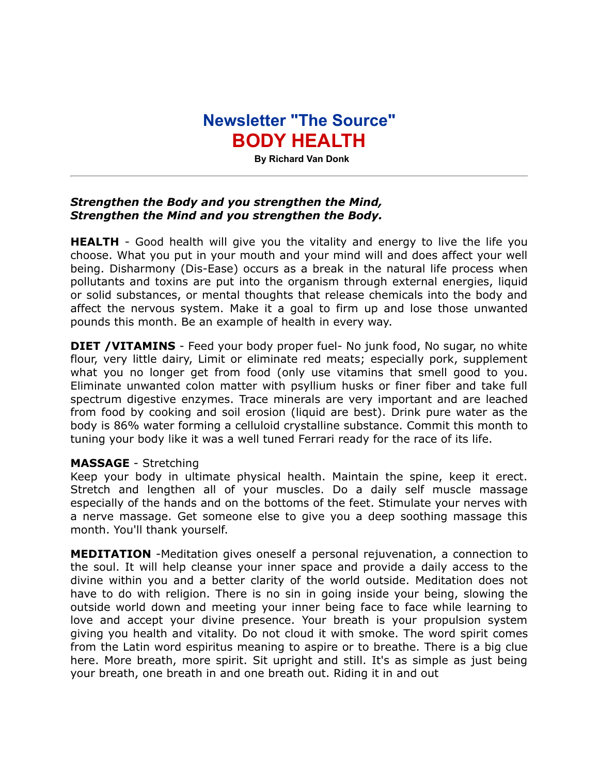## **Newsletter "The Source" BODY HEALTH**

 **By Richard Van Donk**

## *Strengthen the Body and you strengthen the Mind, Strengthen the Mind and you strengthen the Body.*

**HEALTH** - Good health will give you the vitality and energy to live the life you choose. What you put in your mouth and your mind will and does affect your well being. Disharmony (Dis-Ease) occurs as a break in the natural life process when pollutants and toxins are put into the organism through external energies, liquid or solid substances, or mental thoughts that release chemicals into the body and affect the nervous system. Make it a goal to firm up and lose those unwanted pounds this month. Be an example of health in every way.

**DIET /VITAMINS** - Feed your body proper fuel- No junk food, No sugar, no white flour, very little dairy, Limit or eliminate red meats; especially pork, supplement what you no longer get from food (only use vitamins that smell good to you. Eliminate unwanted colon matter with psyllium husks or finer fiber and take full spectrum digestive enzymes. Trace minerals are very important and are leached from food by cooking and soil erosion (liquid are best). Drink pure water as the body is 86% water forming a celluloid crystalline substance. Commit this month to tuning your body like it was a well tuned Ferrari ready for the race of its life.

## **MASSAGE** - Stretching

Keep your body in ultimate physical health. Maintain the spine, keep it erect. Stretch and lengthen all of your muscles. Do a daily self muscle massage especially of the hands and on the bottoms of the feet. Stimulate your nerves with a nerve massage. Get someone else to give you a deep soothing massage this month. You'll thank yourself.

**MEDITATION** -Meditation gives oneself a personal rejuvenation, a connection to the soul. It will help cleanse your inner space and provide a daily access to the divine within you and a better clarity of the world outside. Meditation does not have to do with religion. There is no sin in going inside your being, slowing the outside world down and meeting your inner being face to face while learning to love and accept your divine presence. Your breath is your propulsion system giving you health and vitality. Do not cloud it with smoke. The word spirit comes from the Latin word espiritus meaning to aspire or to breathe. There is a big clue here. More breath, more spirit. Sit upright and still. It's as simple as just being your breath, one breath in and one breath out. Riding it in and out